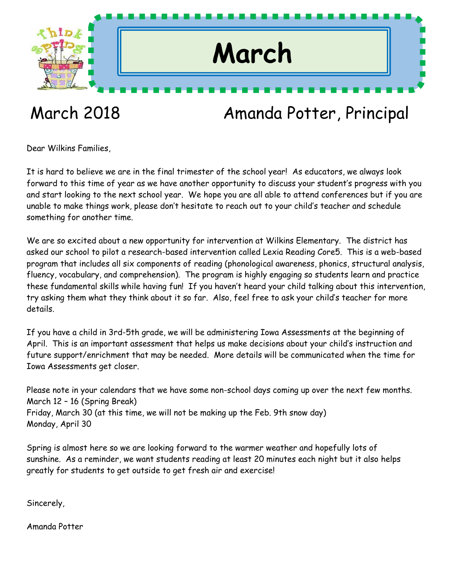

## March 2018 Amanda Potter, Principal

Dear Wilkins Families,

It is hard to believe we are in the final trimester of the school year! As educators, we always look forward to this time of year as we have another opportunity to discuss your student's progress with you and start looking to the next school year. We hope you are all able to attend conferences but if you are unable to make things work, please don't hesitate to reach out to your child's teacher and schedule something for another time.

We are so excited about a new opportunity for intervention at Wilkins Elementary. The district has asked our school to pilot a research-based intervention called Lexia Reading Core5. This is a web-based program that includes all six components of reading (phonological awareness, phonics, structural analysis, fluency, vocabulary, and comprehension). The program is highly engaging so students learn and practice these fundamental skills while having fun! If you haven't heard your child talking about this intervention, try asking them what they think about it so far. Also, feel free to ask your child's teacher for more details.

If you have a child in 3rd-5th grade, we will be administering Iowa Assessments at the beginning of April. This is an important assessment that helps us make decisions about your child's instruction and future support/enrichment that may be needed. More details will be communicated when the time for Iowa Assessments get closer.

Please note in your calendars that we have some non-school days coming up over the next few months. March 12 – 16 (Spring Break) Friday, March 30 (at this time, we will not be making up the Feb. 9th snow day) Monday, April 30

Spring is almost here so we are looking forward to the warmer weather and hopefully lots of sunshine. As a reminder, we want students reading at least 20 minutes each night but it also helps greatly for students to get outside to get fresh air and exercise!

Sincerely,

Amanda Potter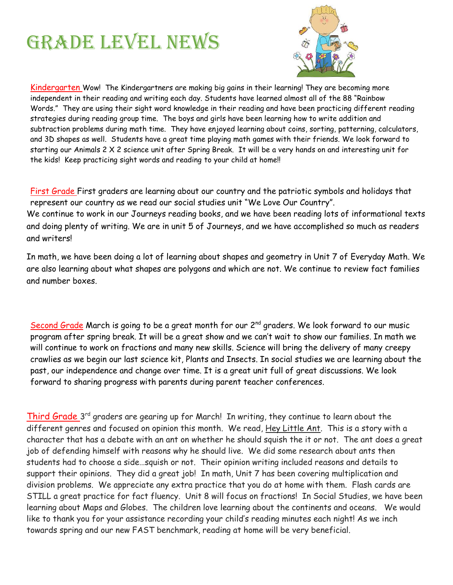## **GRADE LEVEL NEWS**



Kindergarten Wow! The Kindergartners are making big gains in their learning! They are becoming more independent in their reading and writing each day. Students have learned almost all of the 88 "Rainbow Words." They are using their sight word knowledge in their reading and have been practicing different reading strategies during reading group time. The boys and girls have been learning how to write addition and subtraction problems during math time. They have enjoyed learning about coins, sorting, patterning, calculators, and 3D shapes as well. Students have a great time playing math games with their friends. We look forward to starting our Animals 2 X 2 science unit after Spring Break. It will be a very hands on and interesting unit for the kids! Keep practicing sight words and reading to your child at home!!

First Grade First graders are learning about our country and the patriotic symbols and holidays that represent our country as we read our social studies unit "We Love Our Country". We continue to work in our Journeys reading books, and we have been reading lots of informational texts and doing plenty of writing. We are in unit 5 of Journeys, and we have accomplished so much as readers and writers!

In math, we have been doing a lot of learning about shapes and geometry in Unit 7 of Everyday Math. We are also learning about what shapes are polygons and which are not. We continue to review fact families and number boxes.

Second Grade March is going to be a great month for our 2<sup>nd</sup> graders. We look forward to our music program after spring break. It will be a great show and we can't wait to show our families. In math we will continue to work on fractions and many new skills. Science will bring the delivery of many creepy crawlies as we begin our last science kit, Plants and Insects. In social studies we are learning about the past, our independence and change over time. It is a great unit full of great discussions. We look forward to sharing progress with parents during parent teacher conferences.

Third Grade 3<sup>rd</sup> graders are gearing up for March! In writing, they continue to learn about the different genres and focused on opinion this month. We read, Hey Little Ant. This is a story with a character that has a debate with an ant on whether he should squish the it or not. The ant does a great job of defending himself with reasons why he should live. We did some research about ants then students had to choose a side…squish or not. Their opinion writing included reasons and details to support their opinions. They did a great job! In math, Unit 7 has been covering multiplication and division problems. We appreciate any extra practice that you do at home with them. Flash cards are STILL a great practice for fact fluency. Unit 8 will focus on fractions! In Social Studies, we have been learning about Maps and Globes. The children love learning about the continents and oceans. We would like to thank you for your assistance recording your child's reading minutes each night! As we inch towards spring and our new FAST benchmark, reading at home will be very beneficial.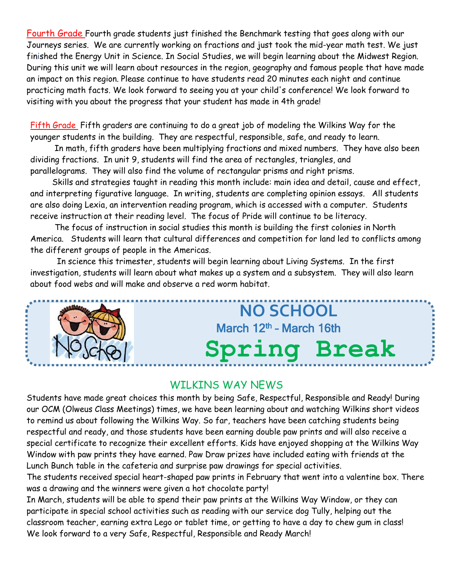Fourth Grade Fourth grade students just finished the Benchmark testing that goes along with our Journeys series. We are currently working on fractions and just took the mid-year math test. We just finished the Energy Unit in Science. In Social Studies, we will begin learning about the Midwest Region. During this unit we will learn about resources in the region, geography and famous people that have made an impact on this region. Please continue to have students read 20 minutes each night and continue practicing math facts. We look forward to seeing you at your child's conference! We look forward to visiting with you about the progress that your student has made in 4th grade!

Fifth Grade Fifth graders are continuing to do a great job of modeling the Wilkins Way for the younger students in the building. They are respectful, responsible, safe, and ready to learn.

 In math, fifth graders have been multiplying fractions and mixed numbers. They have also been dividing fractions. In unit 9, students will find the area of rectangles, triangles, and parallelograms. They will also find the volume of rectangular prisms and right prisms.

 Skills and strategies taught in reading this month include: main idea and detail, cause and effect, and interpreting figurative language. In writing, students are completing opinion essays. All students are also doing Lexia, an intervention reading program, which is accessed with a computer. Students receive instruction at their reading level. The focus of Pride will continue to be literacy.

 The focus of instruction in social studies this month is building the first colonies in North America. Students will learn that cultural differences and competition for land led to conflicts among the different groups of people in the Americas.

In science this trimester, students will begin learning about Living Systems. In the first investigation, students will learn about what makes up a system and a subsystem. They will also learn about food webs and will make and observe a red worm habitat.

## **NO SCHOOL** March 12<sup>th</sup> - March 16th **Spring Break**

#### WILKINS WAY NEWS

Students have made great choices this month by being Safe, Respectful, Responsible and Ready! During our OCM (Olweus Class Meetings) times, we have been learning about and watching Wilkins short videos to remind us about following the Wilkins Way. So far, teachers have been catching students being respectful and ready, and those students have been earning double paw prints and will also receive a special certificate to recognize their excellent efforts. Kids have enjoyed shopping at the Wilkins Way Window with paw prints they have earned. Paw Draw prizes have included eating with friends at the Lunch Bunch table in the cafeteria and surprise paw drawings for special activities.

The students received special heart-shaped paw prints in February that went into a valentine box. There was a drawing and the winners were given a hot chocolate party!

In March, students will be able to spend their paw prints at the Wilkins Way Window, or they can participate in special school activities such as reading with our service dog Tully, helping out the classroom teacher, earning extra Lego or tablet time, or getting to have a day to chew gum in class! We look forward to a very Safe, Respectful, Responsible and Ready March!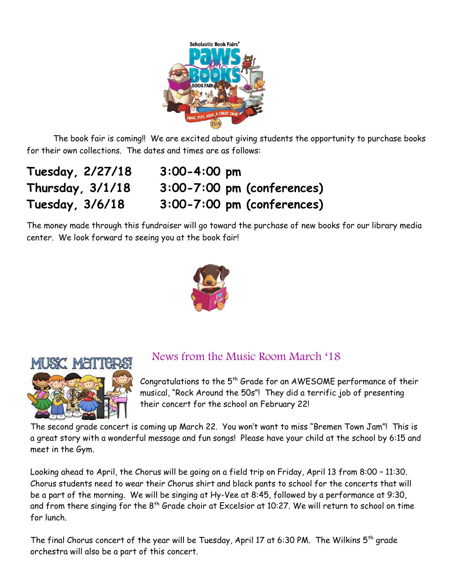

The book fair is coming!! We are excited about giving students the opportunity to purchase books for their own collections. The dates and times are as follows:

**Tuesday, 2/27/18 3:00-4:00 pm Thursday, 3/1/18 3:00-7:00 pm (conferences) Tuesday, 3/6/18 3:00-7:00 pm (conferences)**

The money made through this fundraiser will go toward the purchase of new books for our library media center. We look forward to seeing you at the book fair!





#### News from the Music Room March '18

Congratulations to the 5<sup>th</sup> Grade for an AWESOME performance of their musical, "Rock Around the 50s"! They did a terrific job of presenting their concert for the school on February 22!

The second grade concert is coming up March 22. You won't want to miss "Bremen Town Jam"! This is a great story with a wonderful message and fun songs! Please have your child at the school by 6:15 and meet in the Gym.

Looking ahead to April, the Chorus will be going on a field trip on Friday, April 13 from 8:00 – 11:30. Chorus students need to wear their Chorus shirt and black pants to school for the concerts that will be a part of the morning. We will be singing at Hy-Vee at 8:45, followed by a performance at 9:30, and from there singing for the 8<sup>th</sup> Grade choir at Excelsior at 10:27. We will return to school on time for lunch.

The final Chorus concert of the year will be Tuesday, April 17 at 6:30 PM. The Wilkins  $5<sup>th</sup>$  grade orchestra will also be a part of this concert.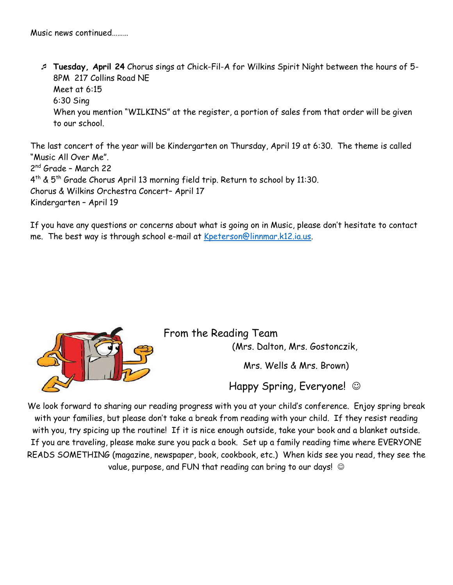**Tuesday, April 24** Chorus sings at Chick-Fil-A for Wilkins Spirit Night between the hours of 5- 8PM 217 Collins Road NE Meet at 6:15 6:30 Sing When you mention "WILKINS" at the register, a portion of sales from that order will be given to our school.

The last concert of the year will be Kindergarten on Thursday, April 19 at 6:30. The theme is called "Music All Over Me". 2 nd Grade – March 22  $4^{\text{th}}$  &  $5^{\text{th}}$  Grade Chorus April 13 morning field trip. Return to school by 11:30. Chorus & Wilkins Orchestra Concert– April 17 Kindergarten – April 19

If you have any questions or concerns about what is going on in Music, please don't hesitate to contact me. The best way is through school e-mail at [Kpeterson@linnmar.k12.ia.us.](mailto:Kpeterson@linnmar.k12.ia.us)



From the Reading Team (Mrs. Dalton, Mrs. Gostonczik,

Mrs. Wells & Mrs. Brown)

Happy Spring, Everyone!  $\odot$ 

We look forward to sharing our reading progress with you at your child's conference. Enjoy spring break with your families, but please don't take a break from reading with your child. If they resist reading with you, try spicing up the routine! If it is nice enough outside, take your book and a blanket outside. If you are traveling, please make sure you pack a book. Set up a family reading time where EVERYONE READS SOMETHING (magazine, newspaper, book, cookbook, etc.) When kids see you read, they see the value, purpose, and FUN that reading can bring to our days!